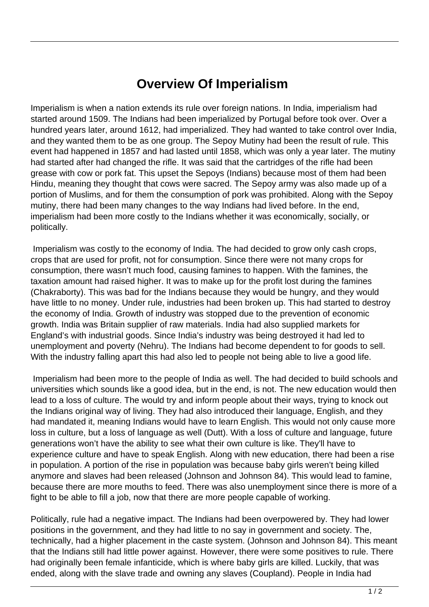## **Overview Of Imperialism**

Imperialism is when a nation extends its rule over foreign nations. In India, imperialism had started around 1509. The Indians had been imperialized by Portugal before took over. Over a hundred years later, around 1612, had imperialized. They had wanted to take control over India, and they wanted them to be as one group. The Sepoy Mutiny had been the result of rule. This event had happened in 1857 and had lasted until 1858, which was only a year later. The mutiny had started after had changed the rifle. It was said that the cartridges of the rifle had been grease with cow or pork fat. This upset the Sepoys (Indians) because most of them had been Hindu, meaning they thought that cows were sacred. The Sepoy army was also made up of a portion of Muslims, and for them the consumption of pork was prohibited. Along with the Sepoy mutiny, there had been many changes to the way Indians had lived before. In the end, imperialism had been more costly to the Indians whether it was economically, socially, or politically.

 Imperialism was costly to the economy of India. The had decided to grow only cash crops, crops that are used for profit, not for consumption. Since there were not many crops for consumption, there wasn't much food, causing famines to happen. With the famines, the taxation amount had raised higher. It was to make up for the profit lost during the famines (Chakraborty). This was bad for the Indians because they would be hungry, and they would have little to no money. Under rule, industries had been broken up. This had started to destroy the economy of India. Growth of industry was stopped due to the prevention of economic growth. India was Britain supplier of raw materials. India had also supplied markets for England's with industrial goods. Since India's industry was being destroyed it had led to unemployment and poverty (Nehru). The Indians had become dependent to for goods to sell. With the industry falling apart this had also led to people not being able to live a good life.

 Imperialism had been more to the people of India as well. The had decided to build schools and universities which sounds like a good idea, but in the end, is not. The new education would then lead to a loss of culture. The would try and inform people about their ways, trying to knock out the Indians original way of living. They had also introduced their language, English, and they had mandated it, meaning Indians would have to learn English. This would not only cause more loss in culture, but a loss of language as well (Dutt). With a loss of culture and language, future generations won't have the ability to see what their own culture is like. They'll have to experience culture and have to speak English. Along with new education, there had been a rise in population. A portion of the rise in population was because baby girls weren't being killed anymore and slaves had been released (Johnson and Johnson 84). This would lead to famine, because there are more mouths to feed. There was also unemployment since there is more of a fight to be able to fill a job, now that there are more people capable of working.

Politically, rule had a negative impact. The Indians had been overpowered by. They had lower positions in the government, and they had little to no say in government and society. The, technically, had a higher placement in the caste system. (Johnson and Johnson 84). This meant that the Indians still had little power against. However, there were some positives to rule. There had originally been female infanticide, which is where baby girls are killed. Luckily, that was ended, along with the slave trade and owning any slaves (Coupland). People in India had